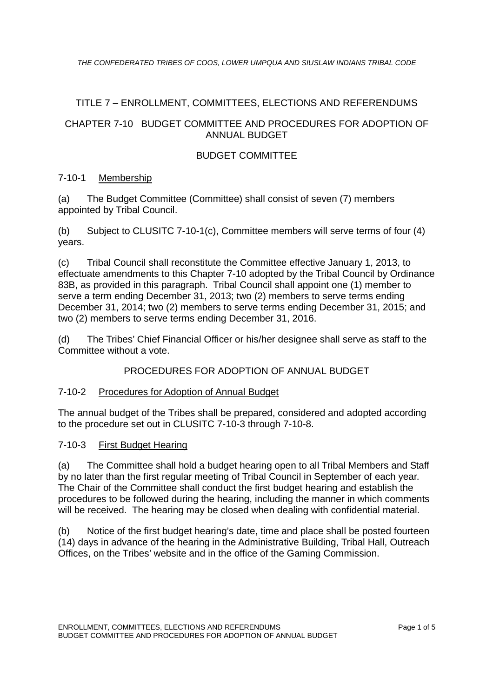# TITLE 7 – ENROLLMENT, COMMITTEES, ELECTIONS AND REFERENDUMS

# CHAPTER 7-10 BUDGET COMMITTEE AND PROCEDURES FOR ADOPTION OF ANNUAL BUDGET

# BUDGET COMMITTEE

# 7-10-1 Membership

(a) The Budget Committee (Committee) shall consist of seven (7) members appointed by Tribal Council.

(b) Subject to CLUSITC 7-10-1(c), Committee members will serve terms of four (4) years.

(c) Tribal Council shall reconstitute the Committee effective January 1, 2013, to effectuate amendments to this Chapter 7-10 adopted by the Tribal Council by Ordinance 83B, as provided in this paragraph. Tribal Council shall appoint one (1) member to serve a term ending December 31, 2013; two (2) members to serve terms ending December 31, 2014; two (2) members to serve terms ending December 31, 2015; and two (2) members to serve terms ending December 31, 2016.

(d) The Tribes' Chief Financial Officer or his/her designee shall serve as staff to the Committee without a vote.

PROCEDURES FOR ADOPTION OF ANNUAL BUDGET

# 7-10-2 Procedures for Adoption of Annual Budget

The annual budget of the Tribes shall be prepared, considered and adopted according to the procedure set out in CLUSITC 7-10-3 through 7-10-8.

# 7-10-3 First Budget Hearing

(a) The Committee shall hold a budget hearing open to all Tribal Members and Staff by no later than the first regular meeting of Tribal Council in September of each year. The Chair of the Committee shall conduct the first budget hearing and establish the procedures to be followed during the hearing, including the manner in which comments will be received. The hearing may be closed when dealing with confidential material.

(b) Notice of the first budget hearing's date, time and place shall be posted fourteen (14) days in advance of the hearing in the Administrative Building, Tribal Hall, Outreach Offices, on the Tribes' website and in the office of the Gaming Commission.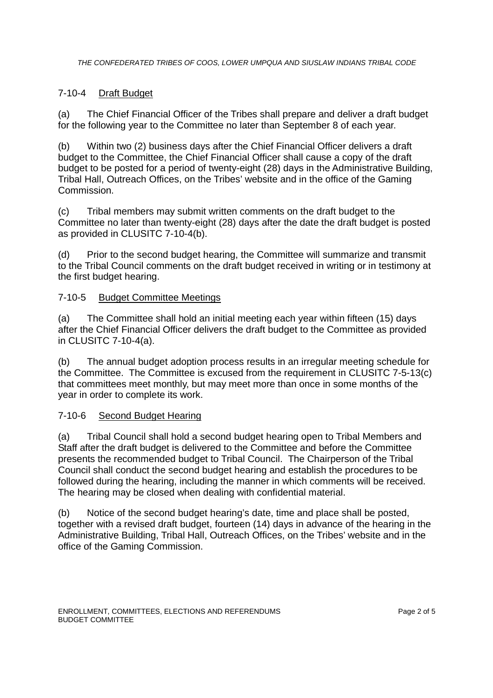# 7-10-4 Draft Budget

(a) The Chief Financial Officer of the Tribes shall prepare and deliver a draft budget for the following year to the Committee no later than September 8 of each year.

(b) Within two (2) business days after the Chief Financial Officer delivers a draft budget to the Committee, the Chief Financial Officer shall cause a copy of the draft budget to be posted for a period of twenty-eight (28) days in the Administrative Building, Tribal Hall, Outreach Offices, on the Tribes' website and in the office of the Gaming Commission.

(c) Tribal members may submit written comments on the draft budget to the Committee no later than twenty-eight (28) days after the date the draft budget is posted as provided in CLUSITC 7-10-4(b).

(d) Prior to the second budget hearing, the Committee will summarize and transmit to the Tribal Council comments on the draft budget received in writing or in testimony at the first budget hearing.

# 7-10-5 Budget Committee Meetings

(a) The Committee shall hold an initial meeting each year within fifteen (15) days after the Chief Financial Officer delivers the draft budget to the Committee as provided in CLUSITC 7-10-4(a).

(b) The annual budget adoption process results in an irregular meeting schedule for the Committee. The Committee is excused from the requirement in CLUSITC 7-5-13(c) that committees meet monthly, but may meet more than once in some months of the year in order to complete its work.

# 7-10-6 Second Budget Hearing

(a) Tribal Council shall hold a second budget hearing open to Tribal Members and Staff after the draft budget is delivered to the Committee and before the Committee presents the recommended budget to Tribal Council. The Chairperson of the Tribal Council shall conduct the second budget hearing and establish the procedures to be followed during the hearing, including the manner in which comments will be received. The hearing may be closed when dealing with confidential material.

(b) Notice of the second budget hearing's date, time and place shall be posted, together with a revised draft budget, fourteen (14) days in advance of the hearing in the Administrative Building, Tribal Hall, Outreach Offices, on the Tribes' website and in the office of the Gaming Commission.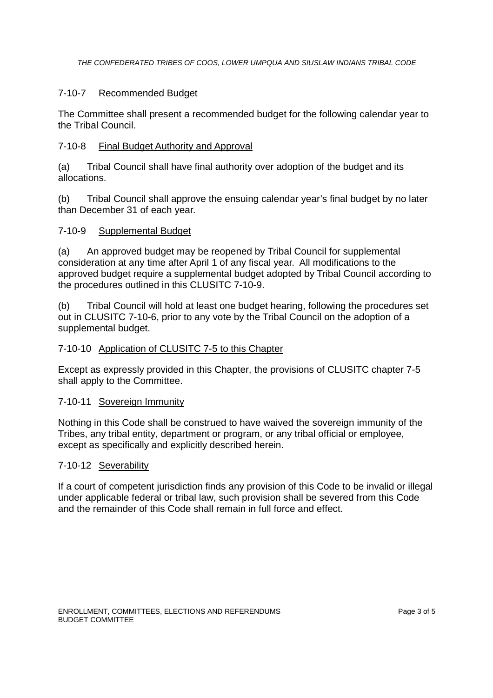# 7-10-7 Recommended Budget

The Committee shall present a recommended budget for the following calendar year to the Tribal Council.

# 7-10-8 Final Budget Authority and Approval

(a) Tribal Council shall have final authority over adoption of the budget and its allocations.

(b) Tribal Council shall approve the ensuing calendar year's final budget by no later than December 31 of each year.

# 7-10-9 Supplemental Budget

(a) An approved budget may be reopened by Tribal Council for supplemental consideration at any time after April 1 of any fiscal year. All modifications to the approved budget require a supplemental budget adopted by Tribal Council according to the procedures outlined in this CLUSITC 7-10-9.

(b) Tribal Council will hold at least one budget hearing, following the procedures set out in CLUSITC 7-10-6, prior to any vote by the Tribal Council on the adoption of a supplemental budget.

### 7-10-10 Application of CLUSITC 7-5 to this Chapter

Except as expressly provided in this Chapter, the provisions of CLUSITC chapter 7-5 shall apply to the Committee.

#### 7-10-11 Sovereign Immunity

Nothing in this Code shall be construed to have waived the sovereign immunity of the Tribes, any tribal entity, department or program, or any tribal official or employee, except as specifically and explicitly described herein.

#### 7-10-12 Severability

If a court of competent jurisdiction finds any provision of this Code to be invalid or illegal under applicable federal or tribal law, such provision shall be severed from this Code and the remainder of this Code shall remain in full force and effect.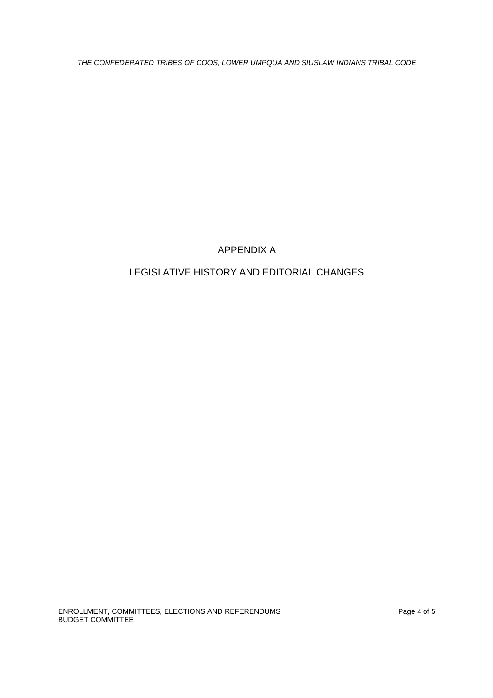# APPENDIX A

# LEGISLATIVE HISTORY AND EDITORIAL CHANGES

ENROLLMENT, COMMITTEES, ELECTIONS AND REFERENDUMS Page 4 of 5 BUDGET COMMITTEE